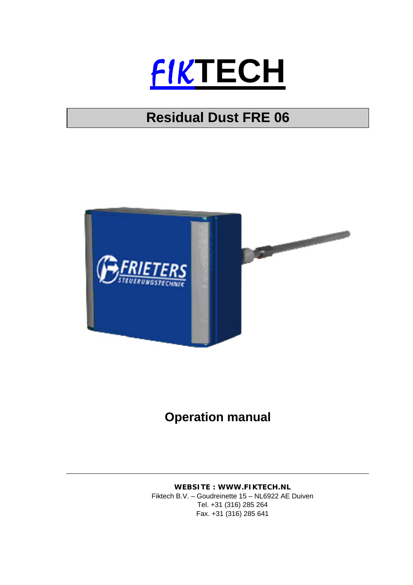

## **Residual Dust FRE 06**



## **Operation manual**

**WEBSITE : WWW.FIKTECH.NL**  Fiktech B.V. – Goudreinette 15 – NL6922 AE Duiven Tel. +31 (316) 285 264 Fax. +31 (316) 285 641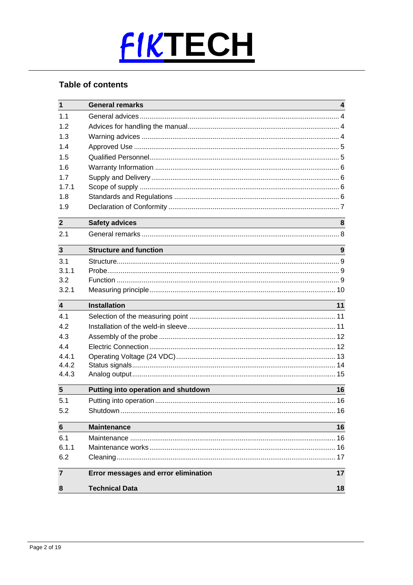

## **Table of contents**

| $\mathbf{1}$            | <b>General remarks</b>               | 4  |
|-------------------------|--------------------------------------|----|
| 1.1                     |                                      |    |
| 1.2                     |                                      |    |
| 1.3                     |                                      |    |
| 1.4                     |                                      |    |
| 1.5                     |                                      |    |
| 1.6                     |                                      |    |
| 17                      |                                      |    |
| 1.7.1                   |                                      |    |
| 1.8                     |                                      |    |
| 1.9                     |                                      |    |
| $\overline{2}$          | <b>Safety advices</b>                | 8  |
| 2.1                     |                                      |    |
| $\mathbf{3}$            | <b>Structure and function</b>        | 9  |
| 3.1                     |                                      |    |
| 3.1.1                   |                                      |    |
| 3.2                     |                                      |    |
| 3.2.1                   |                                      |    |
| $\overline{\mathbf{4}}$ | <b>Installation</b>                  | 11 |
| 4.1                     |                                      |    |
| 4.2                     |                                      |    |
| 4.3                     |                                      |    |
| 4.4                     |                                      |    |
| 4.4.1                   |                                      |    |
| 4.4.2                   |                                      |    |
| 4.4.3                   |                                      |    |
| $\sqrt{5}$              | Putting into operation and shutdown  | 16 |
| 5.1                     |                                      |    |
| 5.2                     |                                      |    |
|                         |                                      |    |
| $6\phantom{1}6$         | <b>Maintenance</b>                   | 16 |
| 6.1                     |                                      |    |
| 6.1.1                   |                                      |    |
| 6.2                     |                                      |    |
| $\overline{7}$          | Error messages and error elimination | 17 |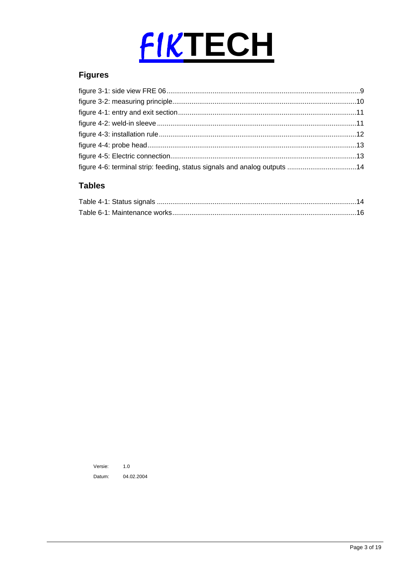

## **Figures**

| figure 4-6: terminal strip: feeding, status signals and analog outputs 14 |  |
|---------------------------------------------------------------------------|--|

## **Tables**

Versie:  $1.0\,$ Datum: 04.02.2004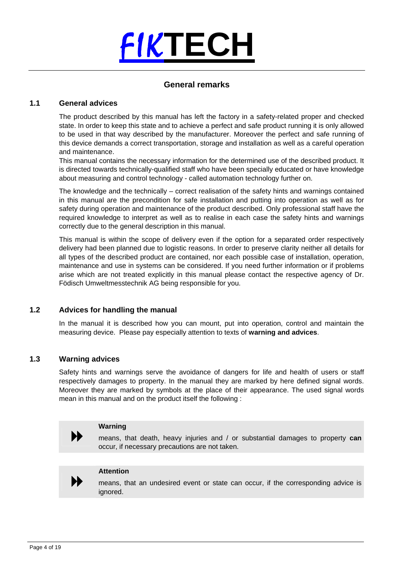

## **General remarks**

## **1.1 General advices**

The product described by this manual has left the factory in a safety-related proper and checked state. In order to keep this state and to achieve a perfect and safe product running it is only allowed to be used in that way described by the manufacturer. Moreover the perfect and safe running of this device demands a correct transportation, storage and installation as well as a careful operation and maintenance.

This manual contains the necessary information for the determined use of the described product. It is directed towards technically-qualified staff who have been specially educated or have knowledge about measuring and control technology - called automation technology further on.

The knowledge and the technically – correct realisation of the safety hints and warnings contained in this manual are the precondition for safe installation and putting into operation as well as for safety during operation and maintenance of the product described. Only professional staff have the required knowledge to interpret as well as to realise in each case the safety hints and warnings correctly due to the general description in this manual.

This manual is within the scope of delivery even if the option for a separated order respectively delivery had been planned due to logistic reasons. In order to preserve clarity neither all details for all types of the described product are contained, nor each possible case of installation, operation, maintenance and use in systems can be considered. If you need further information or if problems arise which are not treated explicitly in this manual please contact the respective agency of Dr. Födisch Umweltmesstechnik AG being responsible for you.

## **1.2 Advices for handling the manual**

In the manual it is described how you can mount, put into operation, control and maintain the measuring device. Please pay especially attention to texts of **warning and advices**.

### **1.3 Warning advices**

Safety hints and warnings serve the avoidance of dangers for life and health of users or staff respectively damages to property. In the manual they are marked by here defined signal words. Moreover they are marked by symbols at the place of their appearance. The used signal words mean in this manual and on the product itself the following :



 **Warning**  means, that death, heavy injuries and / or substantial damages to property **can** occur, if necessary precautions are not taken.



Attention<br>
means, that an undesired event or state can occur, if the corresponding advice is ignored.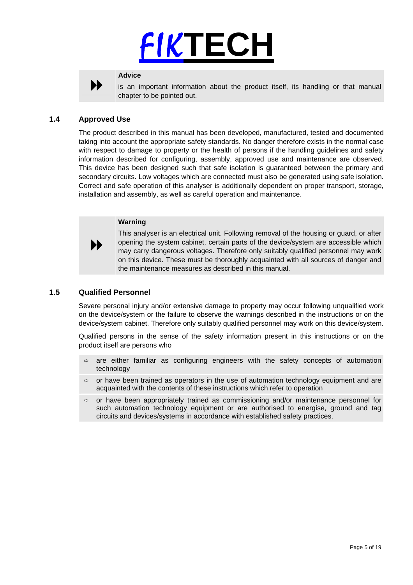# FIK**TECH**



Advice<br>
is an important information about the product itself, its handling or that manual chapter to be pointed out.

## **1.4 Approved Use**

The product described in this manual has been developed, manufactured, tested and documented taking into account the appropriate safety standards. No danger therefore exists in the normal case with respect to damage to property or the health of persons if the handling guidelines and safety information described for configuring, assembly, approved use and maintenance are observed. This device has been designed such that safe isolation is guaranteed between the primary and secondary circuits. Low voltages which are connected must also be generated using safe isolation. Correct and safe operation of this analyser is additionally dependent on proper transport, storage, installation and assembly, as well as careful operation and maintenance.

## **Warning**

This analyser is an electrical unit. Following removal of the housing or guard, or after opening the system cabinet, certain parts of the device/system are accessible which may carry dangerous voltages. Therefore only suitably qualified personnel may work on this device. These must be thoroughly acquainted with all sources of danger and the maintenance measures as described in this manual.

## **1.5 Qualified Personnel**

 $\blacktriangleright$ 

Severe personal injury and/or extensive damage to property may occur following unqualified work on the device/system or the failure to observe the warnings described in the instructions or on the device/system cabinet. Therefore only suitably qualified personnel may work on this device/system.

Qualified persons in the sense of the safety information present in this instructions or on the product itself are persons who

- $\Rightarrow$  are either familiar as configuring engineers with the safety concepts of automation technology
- $\Rightarrow$  or have been trained as operators in the use of automation technology equipment and are acquainted with the contents of these instructions which refer to operation
- $\Rightarrow$  or have been appropriately trained as commissioning and/or maintenance personnel for such automation technology equipment or are authorised to energise, ground and tag circuits and devices/systems in accordance with established safety practices.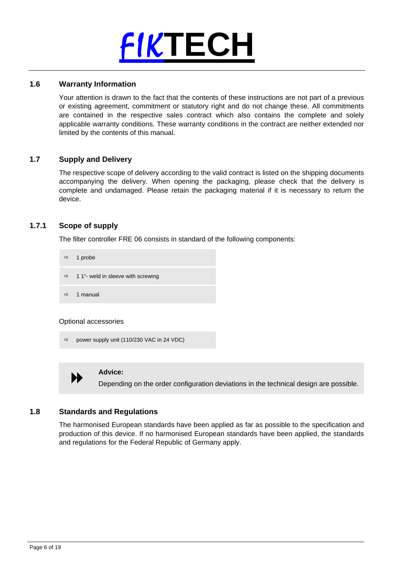

## **1.6 Warranty Information**

Your attention is drawn to the fact that the contents of these instructions are not part of a previous or existing agreement, commitment or statutory right and do not change these. All commitments are contained in the respective sales contract which also contains the complete and solely applicable warranty conditions. These warranty conditions in the contract are neither extended nor limited by the contents of this manual.

## **1.7 Supply and Delivery**

The respective scope of delivery according to the valid contract is listed on the shipping documents accompanying the delivery. When opening the packaging, please check that the delivery is complete and undamaged. Please retain the packaging material if it is necessary to return the device.

## **1.7.1 Scope of supply**

The filter controller FRE 06 consists in standard of the following components:

| $\Rightarrow$ 1 probe                            |
|--------------------------------------------------|
| $\Rightarrow$ 1 1"- weld in sleeve with screwing |
| $\Rightarrow$ 1 manual                           |

Optional accessories

```
Ö power supply unit (110/230 VAC in 24 VDC)
```


Advice:<br>
Depending on the order configuration deviations in the technical design are possible.

## **1.8 Standards and Regulations**

The harmonised European standards have been applied as far as possible to the specification and production of this device. If no harmonised European standards have been applied, the standards and regulations for the Federal Republic of Germany apply.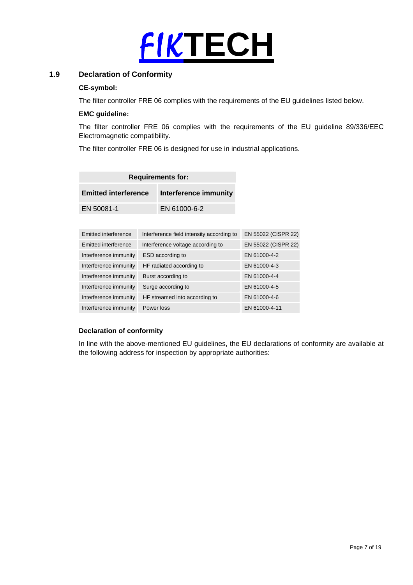

## **1.9 Declaration of Conformity**

## **CE-symbol:**

The filter controller FRE 06 complies with the requirements of the EU guidelines listed below.

## **EMC guideline:**

The filter controller FRE 06 complies with the requirements of the EU guideline 89/336/EEC Electromagnetic compatibility.

The filter controller FRE 06 is designed for use in industrial applications.

| <b>Requirements for:</b>    |                       |  |
|-----------------------------|-----------------------|--|
| <b>Emitted interference</b> | Interference immunity |  |
| EN 50081-1                  | EN 61000-6-2          |  |

| Emitted interference  | Interference field intensity according to | EN 55022 (CISPR 22) |
|-----------------------|-------------------------------------------|---------------------|
| Emitted interference  | Interference voltage according to         | EN 55022 (CISPR 22) |
| Interference immunity | ESD according to                          | EN 61000-4-2        |
| Interference immunity | HF radiated according to                  | EN 61000-4-3        |
| Interference immunity | Burst according to                        | EN 61000-4-4        |
| Interference immunity | Surge according to                        | EN 61000-4-5        |
| Interference immunity | HF streamed into according to             | EN 61000-4-6        |
| Interference immunity | Power loss                                | EN 61000-4-11       |

## **Declaration of conformity**

In line with the above-mentioned EU guidelines, the EU declarations of conformity are available at the following address for inspection by appropriate authorities: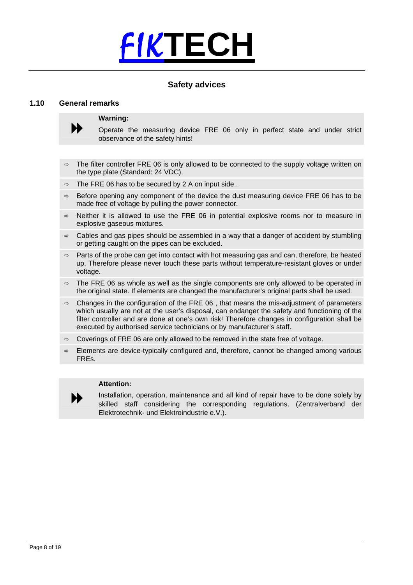

## **Safety advices**

## **1.10 General remarks**



**Warning:**<br> **●●** Operate the measuring device FRE 06 only in perfect state and under strict observance of the safety hints!

- $\Rightarrow$  The filter controller FRE 06 is only allowed to be connected to the supply voltage written on the type plate (Standard: 24 VDC).
- $\Rightarrow$  The FRE 06 has to be secured by 2 A on input side..
- $\Rightarrow$  Before opening any component of the device the dust measuring device FRE 06 has to be made free of voltage by pulling the power connector.
- $\Rightarrow$  Neither it is allowed to use the FRE 06 in potential explosive rooms nor to measure in explosive gaseous mixtures.
- $\Rightarrow$  Cables and gas pipes should be assembled in a way that a danger of accident by stumbling or getting caught on the pipes can be excluded.
- $\Rightarrow$  Parts of the probe can get into contact with hot measuring gas and can, therefore, be heated up. Therefore please never touch these parts without temperature-resistant gloves or under voltage.
- $\Rightarrow$  The FRE 06 as whole as well as the single components are only allowed to be operated in the original state. If elements are changed the manufacturer's original parts shall be used.
- $\Rightarrow$  Changes in the configuration of the FRE 06, that means the mis-adjustment of parameters which usually are not at the user's disposal, can endanger the safety and functioning of the filter controller and are done at one's own risk! Therefore changes in configuration shall be executed by authorised service technicians or by manufacturer's staff.
- $\Rightarrow$  Coverings of FRE 06 are only allowed to be removed in the state free of voltage.
- $\Rightarrow$  Elements are device-typically configured and, therefore, cannot be changed among various FREs.

### **Attention:**

 $\blacktriangleright$ 

Installation, operation, maintenance and all kind of repair have to be done solely by skilled staff considering the corresponding regulations. (Zentralverband der Elektrotechnik- und Elektroindustrie e.V.).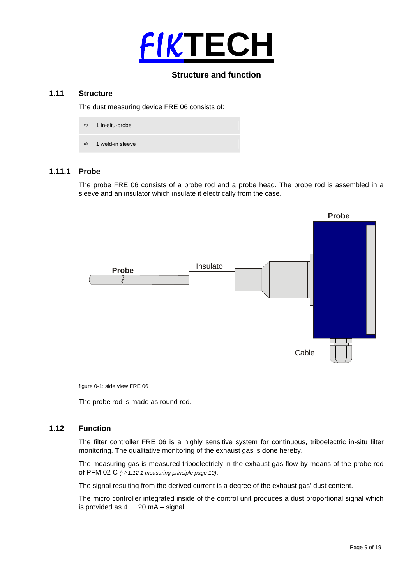

## **Structure and function**

## **1.11 Structure**

The dust measuring device FRE 06 consists of:

- $\Rightarrow$  1 in-situ-probe
- $\Rightarrow$  1 weld-in sleeve

## **1.11.1 Probe**

The probe FRE 06 consists of a probe rod and a probe head. The probe rod is assembled in a sleeve and an insulator which insulate it electrically from the case.



figure 0-1: side view FRE 06

The probe rod is made as round rod.

## **1.12 Function**

The filter controller FRE 06 is a highly sensitive system for continuous, triboelectric in-situ filter monitoring. The qualitative monitoring of the exhaust gas is done hereby.

The measuring gas is measured triboelectricly in the exhaust gas flow by means of the probe rod of PFM 02 C  $\varphi$  1.12.1 measuring principle page 10).

The signal resulting from the derived current is a degree of the exhaust gas' dust content.

The micro controller integrated inside of the control unit produces a dust proportional signal which is provided as 4 … 20 mA – signal.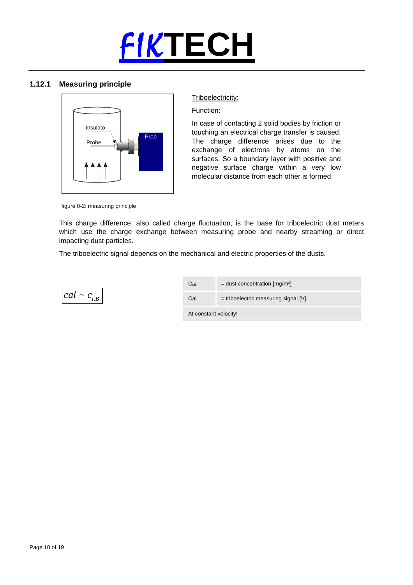

## **1.12.1 Measuring principle**



## Triboelectricity:

Function:

In case of contacting 2 solid bodies by friction or touching an electrical charge transfer is caused. The charge difference arises due to the exchange of electrons by atoms on the surfaces. So a boundary layer with positive and negative surface charge within a very low molecular distance from each other is formed.

figure 0-2: measuring principle

This charge difference, also called charge fluctuation, is the base for triboelectric dust meters which use the charge exchange between measuring probe and nearby streaming or direct impacting dust particles.

The triboelectric signal depends on the mechanical and electric properties of the dusts.



| $\mathrm{C_{i.B.}}$   | $=$ dust concentration [mg/m <sup>3]</sup> |  |
|-----------------------|--------------------------------------------|--|
| Cal                   | $=$ triboelectric measuring signal [V]     |  |
| At constant velocity! |                                            |  |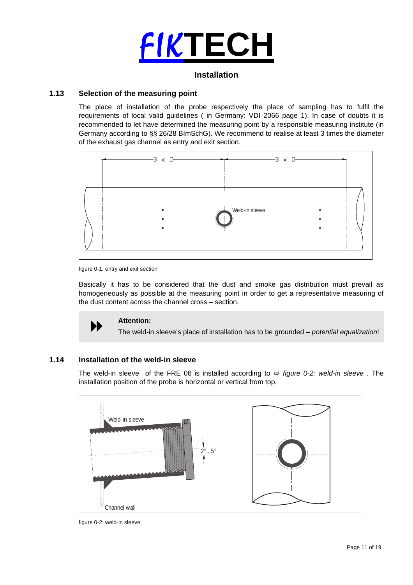

## **Installation**

## **1.13 Selection of the measuring point**

The place of installation of the probe respectively the place of sampling has to fulfil the requirements of local valid guidelines ( in Germany: VDI 2066 page 1). In case of doubts it is recommended to let have determined the measuring point by a responsible measuring institute (in Germany according to §§ 26/28 BImSchG). We recommend to realise at least 3 times the diameter of the exhaust gas channel as entry and exit section.



figure 0-1: entry and exit section

Basically it has to be considered that the dust and smoke gas distribution must prevail as homogeneously as possible at the measuring point in order to get a representative measuring of the dust content across the channel cross – section.



**Attention:**  The weld-in sleeve's place of installation has to be grounded – *potential equalization*!

## **1.14 Installation of the weld-in sleeve**

The weld-in sleeve of the FRE 06 is installed according to  $\Rightarrow$  *figure 0-2: weld-in sleeve*. The installation position of the probe is horizontal or vertical from top.



figure 0-2: weld-in sleeve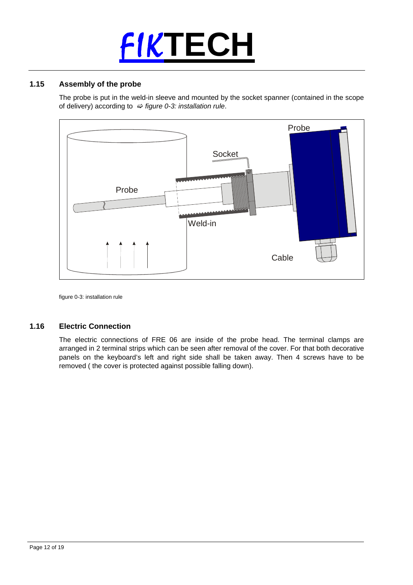# FIK**TECH**

## **1.15 Assembly of the probe**

The probe is put in the weld-in sleeve and mounted by the socket spanner (contained in the scope of delivery) according to  $\Rightarrow$  *figure 0-3: installation rule*.



figure 0-3: installation rule

## **1.16 Electric Connection**

The electric connections of FRE 06 are inside of the probe head. The terminal clamps are arranged in 2 terminal strips which can be seen after removal of the cover. For that both decorative panels on the keyboard's left and right side shall be taken away. Then 4 screws have to be removed ( the cover is protected against possible falling down).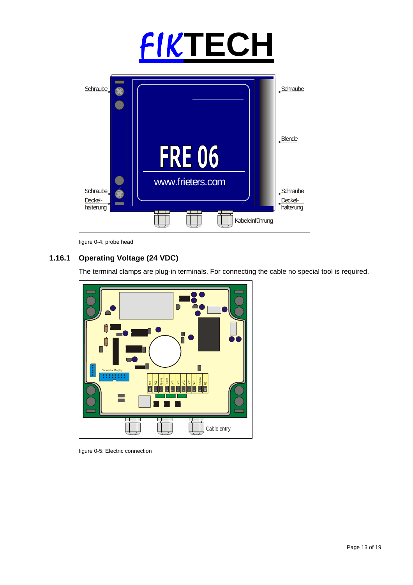# FIK**TECH**



figure 0-4: probe head

## **1.16.1 Operating Voltage (24 VDC)**

The terminal clamps are plug-in terminals. For connecting the cable no special tool is required.



figure 0-5: Electric connection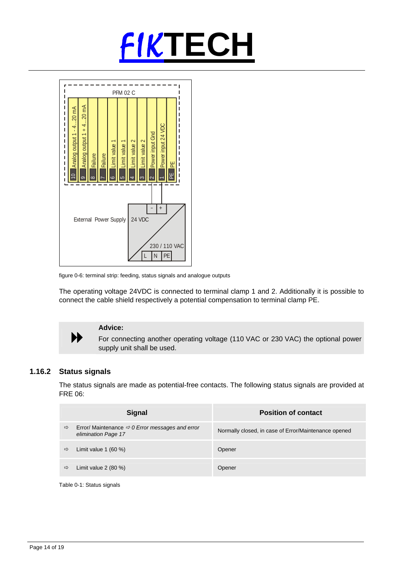



figure 0-6: terminal strip: feeding, status signals and analogue outputs

The operating voltage 24VDC is connected to terminal clamp 1 and 2. Additionally it is possible to connect the cable shield respectively a potential compensation to terminal clamp PE.



Advice:<br>
For connecting another operating voltage (110 VAC or 230 VAC) the optional power supply unit shall be used.

## **1.16.2 Status signals**

The status signals are made as potential-free contacts. The following status signals are provided at FRE 06:

| Error/ Maintenance $\Rightarrow$ 0 Error messages and error<br>$\Rightarrow$<br>Normally closed, in case of Error/Maintenance opened<br>elimination Page 17 |  |
|-------------------------------------------------------------------------------------------------------------------------------------------------------------|--|
| Limit value $1(60\%)$<br>$\Rightarrow$<br>Opener                                                                                                            |  |
| Limit value $2(80\%)$<br>$\Rightarrow$<br>Opener                                                                                                            |  |

Table 0-1: Status signals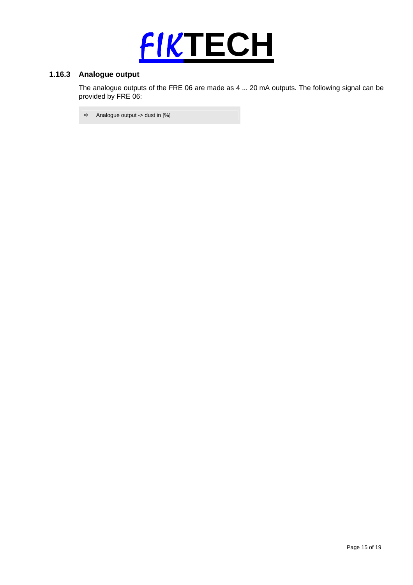

## **1.16.3 Analogue output**

The analogue outputs of the FRE 06 are made as 4 ... 20 mA outputs. The following signal can be provided by FRE 06:

 $\Rightarrow$  Analogue output -> dust in [%]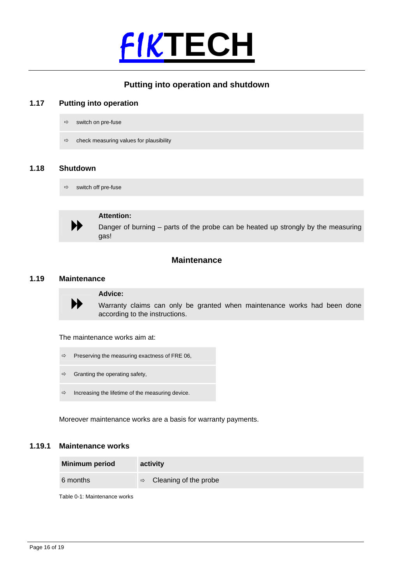

## **Putting into operation and shutdown**

## **1.17 Putting into operation**

- $\Rightarrow$  switch on pre-fuse
- $\Rightarrow$  check measuring values for plausibility

## **1.18 Shutdown**

 $\Rightarrow$  switch off pre-fuse



Attention:<br>
Danger of burning – parts of the probe can be heated up strongly by the measuring<br>
■ gas!

## **Maintenance**

## **1.19 Maintenance**



Advice:<br>
Warranty claims can only be granted when maintenance works had been done according to the instructions.

The maintenance works aim at:

- $\Rightarrow$  Preserving the measuring exactness of FRE 06,
- $\Rightarrow$  Granting the operating safety,
- $\Rightarrow$  Increasing the lifetime of the measuring device.

Moreover maintenance works are a basis for warranty payments.

## **1.19.1 Maintenance works**

| <b>Minimum period</b> | activity                            |
|-----------------------|-------------------------------------|
| 6 months              | $\Rightarrow$ Cleaning of the probe |
|                       |                                     |

Table 0-1: Maintenance works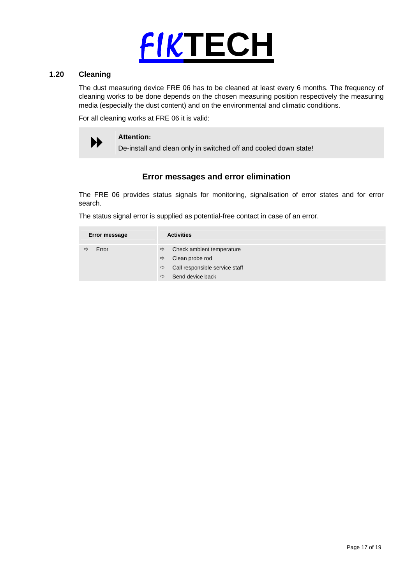

## **1.20 Cleaning**

The dust measuring device FRE 06 has to be cleaned at least every 6 months. The frequency of cleaning works to be done depends on the chosen measuring position respectively the measuring media (especially the dust content) and on the environmental and climatic conditions.

For all cleaning works at FRE 06 it is valid:

Attention:<br>
De-install and clean only in switched off and cooled down state!

## **Error messages and error elimination**

The FRE 06 provides status signals for monitoring, signalisation of error states and for error search.

The status signal error is supplied as potential-free contact in case of an error.

| Error message | <b>Activities</b>                                                                    |
|---------------|--------------------------------------------------------------------------------------|
| Error<br>⇨    | Check ambient temperature<br>$\Rightarrow$<br>Clean probe rod<br>$\Rightarrow$       |
|               | Call responsible service staff<br>$\Rightarrow$<br>Send device back<br>$\Rightarrow$ |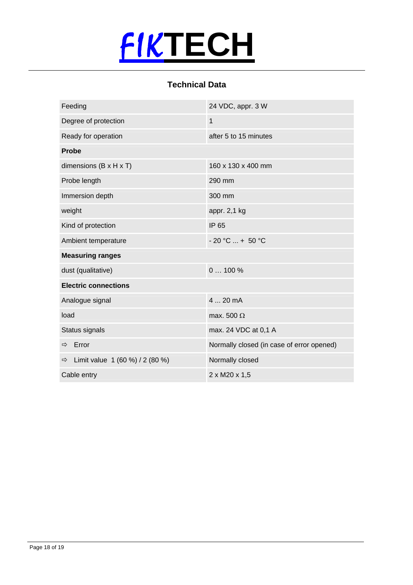

## **Technical Data**

| Feeding                                          | 24 VDC, appr. 3 W                         |  |
|--------------------------------------------------|-------------------------------------------|--|
| Degree of protection                             | $\mathbf{1}$                              |  |
| Ready for operation                              | after 5 to 15 minutes                     |  |
| <b>Probe</b>                                     |                                           |  |
| dimensions $(B \times H \times T)$               | 160 x 130 x 400 mm                        |  |
| Probe length                                     | 290 mm                                    |  |
| Immersion depth                                  | 300 mm                                    |  |
| weight                                           | appr. 2,1 kg                              |  |
| Kind of protection                               | IP 65                                     |  |
| Ambient temperature                              | $-20 °C  + 50 °C$                         |  |
| <b>Measuring ranges</b>                          |                                           |  |
| dust (qualitative)                               | $0100\%$                                  |  |
| <b>Electric connections</b>                      |                                           |  |
| Analogue signal                                  | 4  20 mA                                  |  |
| load                                             | max. 500 $\Omega$                         |  |
| Status signals                                   | max. 24 VDC at 0,1 A                      |  |
| Error<br>⇨                                       | Normally closed (in case of error opened) |  |
| Limit value 1 (60 %) / 2 (80 %)<br>$\Rightarrow$ | Normally closed                           |  |
| Cable entry                                      | 2 x M20 x 1,5                             |  |